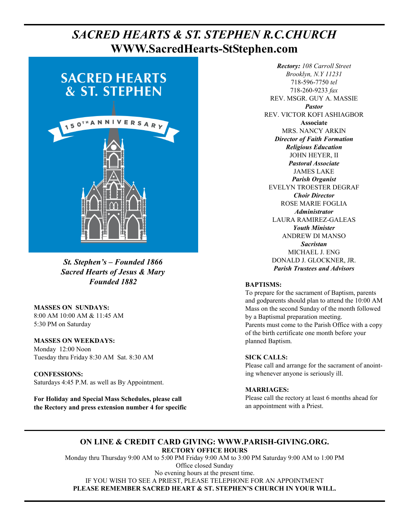# **PAGE 6, SACRED HEARTS & ST. STEPHEN R.C.CHURCH WWW.SacredHearts-StStephen.com**



*St. Stephen's – Founded 1866 Sacred Hearts of Jesus & Mary Founded 1882* 

**MASSES ON SUNDAYS:**  8:00 AM 10:00 AM & 11:45 AM 5:30 PM on Saturday

**MASSES ON WEEKDAYS:**  Monday 12:00 Noon Tuesday thru Friday 8:30 AM Sat. 8:30 AM

**CONFESSIONS:** Saturdays 4:45 P.M. as well as By Appointment.

**For Holiday and Special Mass Schedules, please call the Rectory and press extension number 4 for specific** 

*Rectory: 108 Carroll Street Brooklyn, N.Y 11231*  718-596-7750 *tel* 718-260-9233 *fax* REV. MSGR. GUY A. MASSIE *Pastor*  REV. VICTOR KOFI ASHIAGBOR **Associate**  MRS. NANCY ARKIN *Director of Faith Formation Religious Education*  JOHN HEYER, II *Pastoral Associate*  JAMES LAKE *Parish Organist*  EVELYN TROESTER DEGRAF *Choir Director*  ROSE MARIE FOGLIA *Administrator*  LAURA RAMIREZ-GALEAS *Youth Minister*  ANDREW DI MANSO *Sacristan*  MICHAEL J. ENG DONALD J. GLOCKNER, JR. *Parish Trustees and Advisors* 

#### **BAPTISMS:**

To prepare for the sacrament of Baptism, parents and godparents should plan to attend the 10:00 AM Mass on the second Sunday of the month followed by a Baptismal preparation meeting. Parents must come to the Parish Office with a copy of the birth certificate one month before your planned Baptism.

#### **SICK CALLS:**

Please call and arrange for the sacrament of anointing whenever anyone is seriously ill.

#### **MARRIAGES:**

Please call the rectory at least 6 months ahead for an appointment with a Priest.

#### **ON LINE & CREDIT CARD GIVING: WWW.PARISH-GIVING.ORG. RECTORY OFFICE HOURS**

Monday thru Thursday 9:00 AM to 5:00 PM Friday 9:00 AM to 3:00 PM Saturday 9:00 AM to 1:00 PM Office closed Sunday No evening hours at the present time. IF YOU WISH TO SEE A PRIEST, PLEASE TELEPHONE FOR AN APPOINTMENT **PLEASE REMEMBER SACRED HEART & ST. STEPHEN'S CHURCH IN YOUR WILL.**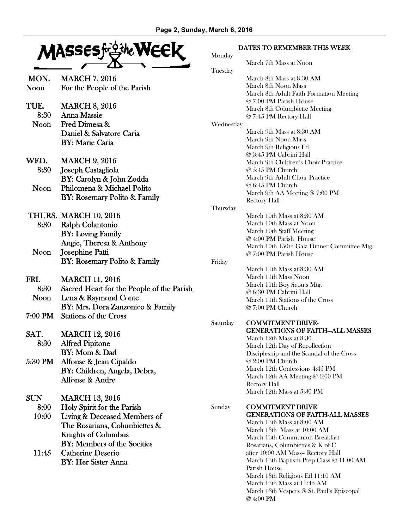

- MON. MARCH 7, 2016 Noon For the People of the Parish
- TUE. MARCH 8, 2016 8:30 Anna Massie Noon Fred Dimesa & Daniel & Salvatore Caria BY: Marie Caria
- WED. MARCH 9, 2016 8:30 Joseph Castagliola BY: Carolyn & John Zodda Noon Philomena & Michael Polito
	- BY: Rosemary Polito & Family
- THURS. MARCH 10, 2016 8:30 Ralph Colantonio BY: Loving Family Angie, Theresa & Anthony Noon Josephine Patti BY: Rosemary Polito & Family
- FRI. MARCH 11, 2016 8:30 Sacred Heart for the People of the Parish Noon Lena & Raymond Conte BY: Mrs. Dora Zanzonico & Family 7:00 PM Stations of the Cross
- SAT. MARCH 12, 2016 8:30 Alfred Pipitone BY: Mom & Dad
- 5:30 PM Alfonse & Jean Cipaldo BY: Children, Angela, Debra, Alfonse & Andre

SUN MARCH 13, 2016

- 8:00 Holy Spirit for the Parish
- 10:00 Living & Deceased Members of The Rosarians, Columbiettes & Knights of Columbus BY: Members of the Socities
- 11:45 Catherine Deserio BY: Her Sister Anna

#### DATES TO REMEMBER THIS WEEK

| Monday    |                                                                       |
|-----------|-----------------------------------------------------------------------|
|           | March 7th Mass at Noon                                                |
| Tuesday   |                                                                       |
|           | March 8th Mass at 8:30 AM                                             |
|           | March 8th Noon Mass                                                   |
|           | March 8th Adult Faith Formation Meeting                               |
|           | @ 7:00 PM Parish House                                                |
|           | March 8th Columbiette Meeting                                         |
|           | @ 7:45 PM Rectory Hall                                                |
| Wednesday |                                                                       |
|           | March 9th Mass at 8:30 AM                                             |
|           | March 9th Noon Mass                                                   |
|           | March 9th Religious Ed                                                |
|           | @ 3:45 PM Cabrini Hall                                                |
|           | March 9th Children's Choir Practice                                   |
|           | @ 5:45 PM Church                                                      |
|           | March 9th Adult Choir Practice                                        |
|           | @ 6:45 PM Church                                                      |
|           | March 9th AA Meeting @ 7:00 PM                                        |
|           | <b>Rectory Hall</b>                                                   |
| Thursday  |                                                                       |
|           | March 10th Mass at 8:30 AM                                            |
|           | March 10th Mass at Noon                                               |
|           | March 10th Staff Meeting                                              |
|           | @ 4:00 PM Parish House                                                |
|           | March 10th 150th Gala Dinner Committee Mtg.<br>@ 7:00 PM Parish House |
|           |                                                                       |
| Friday    | March 11th Mass at 8:30 AM                                            |
|           | March 11th Mass Noon                                                  |
|           | March 11th Boy Scouts Mtg.                                            |
|           | @ 6:30 PM Cabrini Hall                                                |
|           | March 11th Stations of the Cross                                      |
|           | @ 7:00 PM Church                                                      |
|           |                                                                       |
| Saturday  | <b>COMMITMENT DRIVE-</b>                                              |
|           | <b>GENERATIONS OF FAITH-ALL MASSES</b>                                |
|           | March 12th Mass at 8:30                                               |
|           | March 12th Day of Recollection                                        |
|           | Discipleship and the Scandal of the Cross                             |
|           | @ 2:00 PM Church                                                      |
|           | March 12th Confessions 4:45 PM                                        |
|           | March 12th AA Meeting @ 6:00 PM                                       |
|           | <b>Rectory Hall</b>                                                   |
|           | March 12th Mass at 5:30 PM                                            |
|           |                                                                       |
| Sunday    | <b>COMMITMENT DRIVE</b>                                               |
|           | <b>GENERATIONS OF FAITH-ALL MASSES</b>                                |
|           | March 13th Mass at 8:00 AM                                            |
|           | March 13th Mass at 10:00 AM                                           |
|           | March 13th Communion Breakfast                                        |
|           | Rosarians, Columbiettes & K of C                                      |
|           | after 10:00 AM Mass- Rectory Hall                                     |
|           | March 13th Baptism Prep Class @ 11:00 AM                              |
|           | Parish House                                                          |

- March 13th Religious Ed 11:10 AM
- March 13th Mass at 11:45 AM March 13th Vespers @ St. Paul's Episcopal
- @ 4:00 PM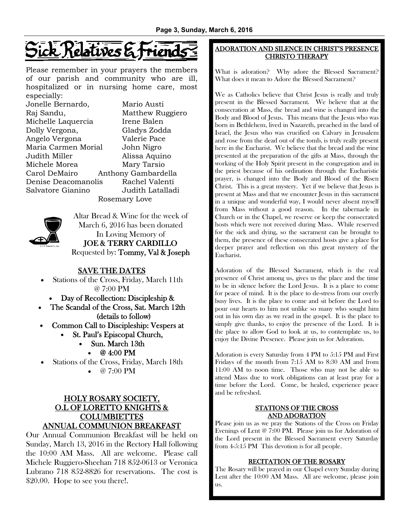# ick Relatives &

Please remember in your prayers the members of our parish and community who are ill, hospitalized or in nursing home care, most especially:

| Jonelle Bernardo,   | Mario Austi         |
|---------------------|---------------------|
| Raj Sandu,          | Matthew Ruggiero    |
| Michelle Laquercia  | Irene Balen         |
| Dolly Vergona,      | Gladys Zodda        |
| Angelo Vergona      | Valerie Pace        |
| Maria Carmen Morial | John Nigro          |
| Judith Miller       | Alissa Aquino       |
| Michele Morea       | Mary Tarsio         |
| Carol DeMairo       | Anthony Gambardella |
| Denise Deacomanolis | Rachel Valenti      |
| Salvatore Gianino   | Judith Latalladi    |
| Rosemary Love       |                     |



Altar Bread & Wine for the week of March 6, 2016 has been donated In Loving Memory of JOE & TERRY CARDILLO Requested by: Tommy, Val & Joseph

# SAVE THE DATES

• Stations of the Cross, Friday, March 11th @ 7:00 PM

- Day of Recollection: Discipleship &
- The Scandal of the Cross, Sat. March 12th (details to follow)
- Common Call to Discipleship: Vespers at
	- St. Paul's Episcopal Church,
		- Sun. March 13th
			- @ 4:00 PM
- Stations of the Cross, Friday, March 18th • @ 7:00 PM
	-

# HOLY ROSARY SOCIETY, O.L OF LORETTO KNIGHTS & COLUMBIETTES ANNUAL COMMUNION BREAKFAST

Our Annual Communion Breakfast will be held on Sunday, March 13, 2016 in the Rectory Hall following the 10:00 AM Mass. All are welcome. Please call Michele Ruggiero-Sheehan 718 852-0613 or Veronica Lubrano 718 852-8826 for reservations. The cost is \$20.00. Hope to see you there!.

#### ADORATION AND SILENCE IN CHRIST'S PRESENCE CHRISTO THERAPY

What is adoration? Why adore the Blessed Sacrament? What does it mean to Adore the Blessed Sacrament?

We as Catholics believe that Christ Jesus is really and truly present in the Blessed Sacrament. We believe that at the consecration at Mass, the bread and wine is changed into the Body and Blood of Jesus. This means that the Jesus who was born in Bethlehem, lived in Nazareth, preached in the land of Israel, the Jesus who was crucified on Calvary in Jerusalem and rose from the dead out of the tomb, is truly really present here in the Eucharist. We believe that the bread and the wine presented at the preparation of the gifts at Mass, through the working of the Holy Spirit present in the congregation and in the priest because of his ordination through the Eucharistic prayer, is changed into the Body and Blood of the Risen Christ. This is a great mystery. Yet if we believe that Jesus is present at Mass and that we encounter Jesus in this sacrament in a unique and wonderful way, I would never absent myself from Mass without a good reason. In the tabernacle in Church or in the Chapel, we reserve or keep the consecrated hosts which were not received during Mass. While reserved for the sick and dying, so the sacrament can be brought to them, the presence of these consecrated hosts give a place for deeper prayer and reflection on this great mystery of the Eucharist.

Adoration of the Blessed Sacrament, which is the real presence of Christ among us, gives us the place and the time to be in silence before the Lord Jesus. It is a place to come for peace of mind. It is the place to de-stress from our overly busy lives. It is the place to come and sit before the Lord to pour our hearts to him not unlike so many who sought him out in his own day as we read in the gospel. It is the place to simply give thanks, to enjoy the presence of the Lord. It is the place to allow God to look at us, to contemplate us, to enjoy the Divine Presence. Please join us for Adoration.

Adoration is every Saturday from 4 PM to 5:15 PM and First Fridays of the month from 7:15 AM to 8:30 AM and from 11:00 AM to noon time. Those who may not be able to attend Mass due to work obligations can at least pray for a time before the Lord. Come, be healed, experience peace and be refreshed.

#### STATIONS OF THE CROSS AND ADORATION

Please join us as we pray the Stations of the Cross on Friday Evenings of Lent @ 7:00 PM. Please join us for Adoration of the Lord present in the Blessed Sacrament every Saturday from 4-5:15 PM This devotion is for all people.

#### RECITATION OF THE ROSARY

The Rosary will be prayed in our Chapel every Sunday during Lent after the 10:00 AM Mass. All are welcome, please join us.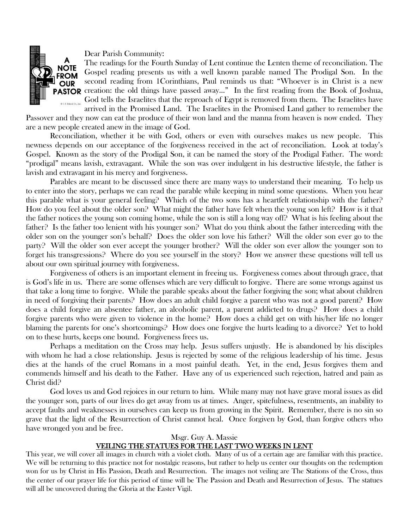

Dear Parish Community:

The readings for the Fourth Sunday of Lent continue the Lenten theme of reconciliation. The Gospel reading presents us with a well known parable named The Prodigal Son. In the second reading from 1Corinthians, Paul reminds us that: "Whoever is in Christ is a new **PASTOR** creation: the old things have passed away..." In the first reading from the Book of Joshua, God tells the Israelites that the reproach of Egypt is removed from them. The Israelites have

arrived in the Promised Land. The Israelites in the Promised Land gather to remember the Passover and they now can eat the produce of their won land and the manna from heaven is now ended. They are a new people created anew in the image of God.

 Reconciliation, whether it be with God, others or even with ourselves makes us new people. This newness depends on our acceptance of the forgiveness received in the act of reconciliation. Look at today's Gospel. Known as the story of the Prodigal Son, it can be named the story of the Prodigal Father. The word: "prodigal" means lavish, extravagant. While the son was over indulgent in his destructive lifestyle, the father is lavish and extravagant in his mercy and forgiveness.

 Parables are meant to be discussed since there are many ways to understand their meaning. To help us to enter into the story, perhaps we can read the parable while keeping in mind some questions. When you hear this parable what is your general feeling? Which of the two sons has a heartfelt relationship with the father? How do you feel about the older son? What might the father have felt when the young son left? How is it that the father notices the young son coming home, while the son is still a long way off? What is his feeling about the father? Is the father too lenient with his younger son? What do you think about the father interceding with the older son on the younger son's behalf? Does the older son love his father? Will the older son ever go to the party? Will the older son ever accept the younger brother? Will the older son ever allow the younger son to forget his transgressions? Where do you see yourself in the story? How we answer these questions will tell us about our own spiritual journey with forgiveness.

 Forgiveness of others is an important element in freeing us. Forgiveness comes about through grace, that is God's life in us. There are some offenses which are very difficult to forgive. There are some wrongs against us that take a long time to forgive. While the parable speaks about the father forgiving the son; what about children in need of forgiving their parents? How does an adult child forgive a parent who was not a good parent? How does a child forgive an absentee father, an alcoholic parent, a parent addicted to drugs? How does a child forgive parents who were given to violence in the home? How does a child get on with his/her life no longer blaming the parents for one's shortcomings? How does one forgive the hurts leading to a divorce? Yet to hold on to these hurts, keeps one bound. Forgiveness frees us.

 Perhaps a meditation on the Cross may help. Jesus suffers unjustly. He is abandoned by his disciples with whom he had a close relationship. Jesus is rejected by some of the religious leadership of his time. Jesus dies at the hands of the cruel Romans in a most painful death. Yet, in the end, Jesus forgives them and commends himself and his death to the Father. Have any of us experienced such rejection, hatred and pain as Christ did?

 God loves us and God rejoices in our return to him. While many may not have grave moral issues as did the younger son, parts of our lives do get away from us at times. Anger, spitefulness, resentments, an inability to accept faults and weaknesses in ourselves can keep us from growing in the Spirit. Remember, there is no sin so grave that the light of the Resurrection of Christ cannot heal. Once forgiven by God, than forgive others who have wronged you and be free.

#### Msgr. Guy A. Massie

### VEILING THE STATUES FOR THE LAST TWO WEEKS IN LENT

This year, we will cover all images in church with a violet cloth. Many of us of a certain age are familiar with this practice. We will be returning to this practice not for nostalgic reasons, but rather to help us center our thoughts on the redemption won for us by Christ in His Passion, Death and Resurrection. The images not veiling are The Stations of the Cross, thus the center of our prayer life for this period of time will be The Passion and Death and Resurrection of Jesus. The statues will all be uncovered during the Gloria at the Easter Vigil.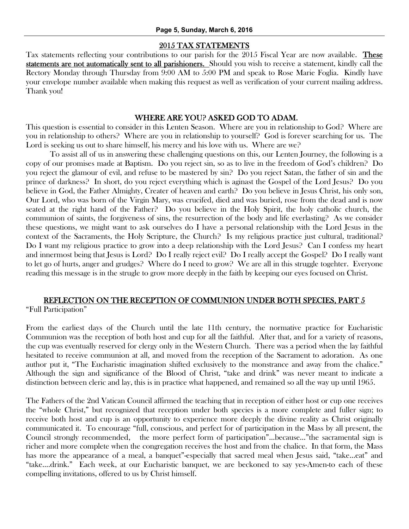#### 2015 TAX STATEMENTS

Tax statements reflecting your contributions to our parish for the 2015 Fiscal Year are now available. These statements are not automatically sent to all parishioners. Should you wish to receive a statement, kindly call the Rectory Monday through Thursday from 9:00 AM to 5:00 PM and speak to Rose Marie Foglia. Kindly have your envelope number available when making this request as well as verification of your current mailing address. Thank you!

#### WHERE ARE YOU? ASKED GOD TO ADAM.

This question is essential to consider in this Lenten Season. Where are you in relationship to God? Where are you in relationship to others? Where are you in relationship to yourself? God is forever searching for us. The Lord is seeking us out to share himself, his mercy and his love with us. Where are we?

 To assist all of us in answering these challenging questions on this, our Lenten Journey, the following is a copy of our promises made at Baptism. Do you reject sin, so as to live in the freedom of God's children? Do you reject the glamour of evil, and refuse to be mastered by sin? Do you reject Satan, the father of sin and the prince of darkness? In short, do you reject everything which is aginast the Gospel of the Lord Jesus? Do you believe in God, the Father Almighty, Creater of heaven and earth? Do you believe in Jesus Christ, his only son, Our Lord, who was born of the Virgin Mary, was crucifed, died and was buried, rose from the dead and is now seated at the right hand of the Father? Do you believe in the Holy Spirit, the holy catholic church, the communion of saints, the forgiveness of sins, the resurrection of the body and life everlasting? As we consider these questions, we might want to ask ourselves do I have a personal relationship with the Lord Jesus in the context of the Sacraments, the Holy Scripture, the Church? Is my religious practice just cultural, traditional? Do I want my religious practice to grow into a deep relationship with the Lord Jesus? Can I confess my heart and innermost being that Jesus is Lord? Do I really reject evil? Do I really accept the Gospel? Do I really want to let go of hurts, anger and grudges? Where do I need to grow? We are all in this struggle togehter. Everyone reading this message is in the strugle to grow more deeply in the faith by keeping our eyes focused on Christ.

# REFLECTION ON THE RECEPTION OF COMMUNION UNDER BOTH SPECIES, PART 5 "Full Participation"

From the earliest days of the Church until the late 11th century, the normative practice for Eucharistic Communion was the reception of both host and cup for all the faithful. After that, and for a variety of reasons, the cup was eventually reserved for clergy only in the Western Church. There was a period when the lay faithful hesitated to receive communion at all, and moved from the reception of the Sacrament to adoration. As one author put it, "The Eucharistic imagination shifted exclusively to the monstrance and away from the chalice." Although the sign and significance of the Blood of Christ, "take and drink" was never meant to indicate a distinction between cleric and lay, this is in practice what happened, and remained so all the way up until 1965.

The Fathers of the 2nd Vatican Council affirmed the teaching that in reception of either host or cup one receives the "whole Christ," but recognized that reception under both species is a more complete and fuller sign; to receive both host and cup is an opportunity to experience more deeply the divine reality as Christ originally communicated it. To encourage "full, conscious, and perfect for of participation in the Mass by all present, the Council strongly recommended, the more perfect form of participation"...because…"the sacramental sign is richer and more complete when the congregation receives the host and from the chalice. In that form, the Mass has more the appearance of a meal, a banquet"-especially that sacred meal when Jesus said, "take...eat" and "take….drink." Each week, at our Eucharistic banquet, we are beckoned to say yes-Amen-to each of these compelling invitations, offered to us by Christ himself.